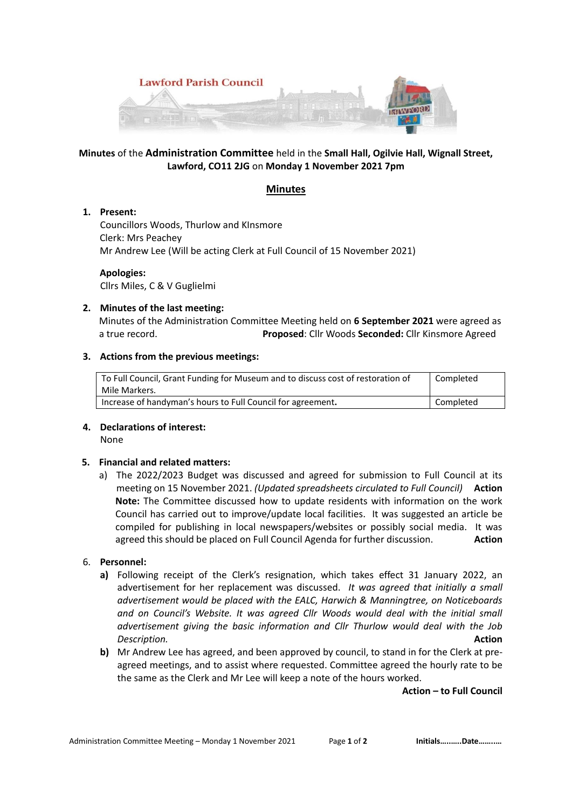

# **Minutes** of the **Administration Committee** held in the **Small Hall, Ogilvie Hall, Wignall Street, Lawford, CO11 2JG** on **Monday 1 November 2021 7pm**

# **Minutes**

## **1. Present:**

Councillors Woods, Thurlow and KInsmore Clerk: Mrs Peachey Mr Andrew Lee (Will be acting Clerk at Full Council of 15 November 2021)

 **Apologies:** Cllrs Miles, C & V Guglielmi

## **2. Minutes of the last meeting:**

Minutes of the Administration Committee Meeting held on **6 September 2021** were agreed as a true record. **Proposed**: Cllr Woods **Seconded:** Cllr Kinsmore Agreed

## **3. Actions from the previous meetings:**

| To Full Council, Grant Funding for Museum and to discuss cost of restoration of<br>Mile Markers. | Completed |
|--------------------------------------------------------------------------------------------------|-----------|
| Increase of handyman's hours to Full Council for agreement.                                      | Completed |

# **4. Declarations of interest:**

None

# **5. Financial and related matters:**

a) The 2022/2023 Budget was discussed and agreed for submission to Full Council at its meeting on 15 November 2021. *(Updated spreadsheets circulated to Full Council)* **Action Note:** The Committee discussed how to update residents with information on the work Council has carried out to improve/update local facilities. It was suggested an article be compiled for publishing in local newspapers/websites or possibly social media. It was agreed this should be placed on Full Council Agenda for further discussion. **Action**

# 6. **Personnel:**

- **a)** Following receipt of the Clerk's resignation, which takes effect 31 January 2022, an advertisement for her replacement was discussed. *It was agreed that initially a small advertisement would be placed with the EALC, Harwich & Manningtree, on Noticeboards and on Council's Website. It was agreed Cllr Woods would deal with the initial small advertisement giving the basic information and Cllr Thurlow would deal with the Job Description.* **Action**
- **b)** Mr Andrew Lee has agreed, and been approved by council, to stand in for the Clerk at preagreed meetings, and to assist where requested. Committee agreed the hourly rate to be the same as the Clerk and Mr Lee will keep a note of the hours worked.

**Action – to Full Council**